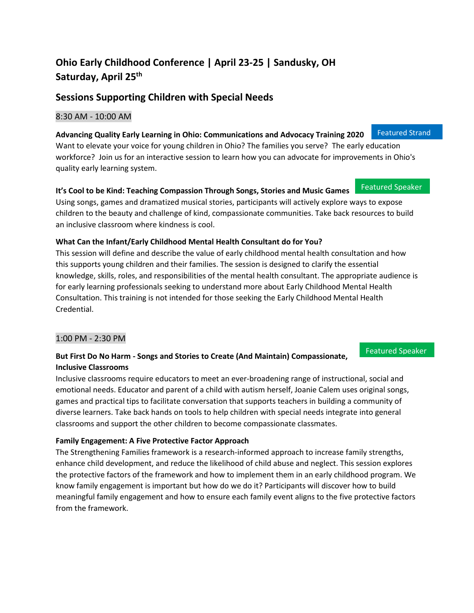# **Ohio Early Childhood Conference | April 23-25 | Sandusky, OH Saturday, April 25 th**

## **Sessions Supporting Children with Special Needs**

#### 8:30 AM - 10:00 AM

**Advancing Quality Early Learning in Ohio: Communications and Advocacy Training 2020** Want to elevate your voice for young children in Ohio? The families you serve? The early education workforce? Join us for an interactive session to learn how you can advocate for improvements in Ohio's quality early learning system.

#### **It's Cool to be Kind: Teaching Compassion Through Songs, Stories and Music Games** Featured Speaker

Using songs, games and dramatized musical stories, participants will actively explore ways to expose children to the beauty and challenge of kind, compassionate communities. Take back resources to build an inclusive classroom where kindness is cool.

#### **What Can the Infant/Early Childhood Mental Health Consultant do for You?**

This session will define and describe the value of early childhood mental health consultation and how this supports young children and their families. The session is designed to clarify the essential knowledge, skills, roles, and responsibilities of the mental health consultant. The appropriate audience is for early learning professionals seeking to understand more about Early Childhood Mental Health Consultation. This training is not intended for those seeking the Early Childhood Mental Health Credential.

#### 1:00 PM - 2:30 PM

#### **But First Do No Harm - Songs and Stories to Create (And Maintain) Compassionate, Inclusive Classrooms**

Inclusive classrooms require educators to meet an ever-broadening range of instructional, social and emotional needs. Educator and parent of a child with autism herself, Joanie Calem uses original songs, games and practical tips to facilitate conversation that supports teachers in building a community of diverse learners. Take back hands on tools to help children with special needs integrate into general classrooms and support the other children to become compassionate classmates.

### **Family Engagement: A Five Protective Factor Approach**

The Strengthening Families framework is a research-informed approach to increase family strengths, enhance child development, and reduce the likelihood of child abuse and neglect. This session explores the protective factors of the framework and how to implement them in an early childhood program. We know family engagement is important but how do we do it? Participants will discover how to build meaningful family engagement and how to ensure each family event aligns to the five protective factors from the framework.

Featured Speaker

Featured Strand